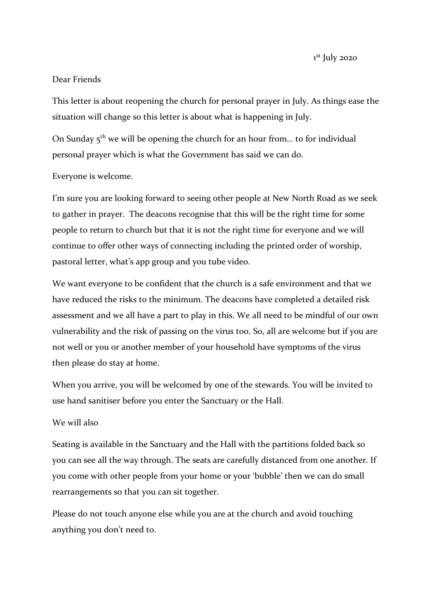1st July 2020

## Dear Friends

This letter is about reopening the church for personal prayer in July. As things ease the situation will change so this letter is about what is happening in July.

On Sunday  $5<sup>th</sup>$  we will be opening the church for an hour from... to for individual personal prayer which is what the Government has said we can do.

## Everyone is welcome.

I'm sure you are looking forward to seeing other people at New North Road as we seek to gather in prayer. The deacons recognise that this will be the right time for some people to return to church but that it is not the right time for everyone and we will continue to offer other ways of connecting including the printed order of worship, pastoral letter, what's app group and you tube video.

We want everyone to be confident that the church is a safe environment and that we have reduced the risks to the minimum. The deacons have completed a detailed risk assessment and we all have a part to play in this. We all need to be mindful of our own vulnerability and the risk of passing on the virus too. So, all are welcome but if you are not well or you or another member of your household have symptoms of the virus then please do stay at home.

When you arrive, you will be welcomed by one of the stewards. You will be invited to use hand sanitiser before you enter the Sanctuary or the Hall.

## We will also

Seating is available in the Sanctuary and the Hall with the partitions folded back so you can see all the way through. The seats are carefully distanced from one another. If you come with other people from your home or your 'bubble' then we can do small rearrangements so that you can sit together.

Please do not touch anyone else while you are at the church and avoid touching anything you don't need to.